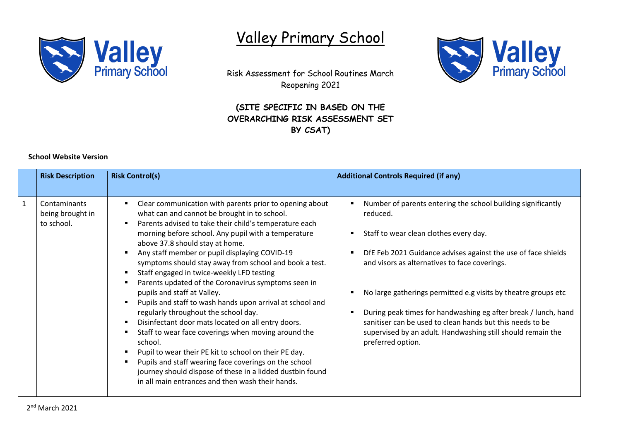

## Valley Primary School



**Valley**<br>Primary School

## **(SITE SPECIFIC IN BASED ON THE OVERARCHING RISK ASSESSMENT SET BY CSAT)**



|   | <b>Risk Description</b>                        | <b>Risk Control(s)</b>                                                                                                                                                                                                                                                                                                                                                                                                                                                                                                                                                                                                                                                                                                                                                                                                                                                                                                                                                    | <b>Additional Controls Required (if any)</b>                                                                                                                                                                                                                                                                                                                                                                                                                                                                              |
|---|------------------------------------------------|---------------------------------------------------------------------------------------------------------------------------------------------------------------------------------------------------------------------------------------------------------------------------------------------------------------------------------------------------------------------------------------------------------------------------------------------------------------------------------------------------------------------------------------------------------------------------------------------------------------------------------------------------------------------------------------------------------------------------------------------------------------------------------------------------------------------------------------------------------------------------------------------------------------------------------------------------------------------------|---------------------------------------------------------------------------------------------------------------------------------------------------------------------------------------------------------------------------------------------------------------------------------------------------------------------------------------------------------------------------------------------------------------------------------------------------------------------------------------------------------------------------|
| 1 | Contaminants<br>being brought in<br>to school. | Clear communication with parents prior to opening about<br>what can and cannot be brought in to school.<br>Parents advised to take their child's temperature each<br>morning before school. Any pupil with a temperature<br>above 37.8 should stay at home.<br>Any staff member or pupil displaying COVID-19<br>symptoms should stay away from school and book a test.<br>Staff engaged in twice-weekly LFD testing<br>Parents updated of the Coronavirus symptoms seen in<br>pupils and staff at Valley.<br>Pupils and staff to wash hands upon arrival at school and<br>regularly throughout the school day.<br>Disinfectant door mats located on all entry doors.<br>Staff to wear face coverings when moving around the<br>school.<br>Pupil to wear their PE kit to school on their PE day.<br>Pupils and staff wearing face coverings on the school<br>journey should dispose of these in a lidded dustbin found<br>in all main entrances and then wash their hands. | Number of parents entering the school building significantly<br>reduced.<br>Staff to wear clean clothes every day.<br>DfE Feb 2021 Guidance advises against the use of face shields<br>and visors as alternatives to face coverings.<br>No large gatherings permitted e.g visits by theatre groups etc<br>During peak times for handwashing eg after break / lunch, hand<br>sanitiser can be used to clean hands but this needs to be<br>supervised by an adult. Handwashing still should remain the<br>preferred option. |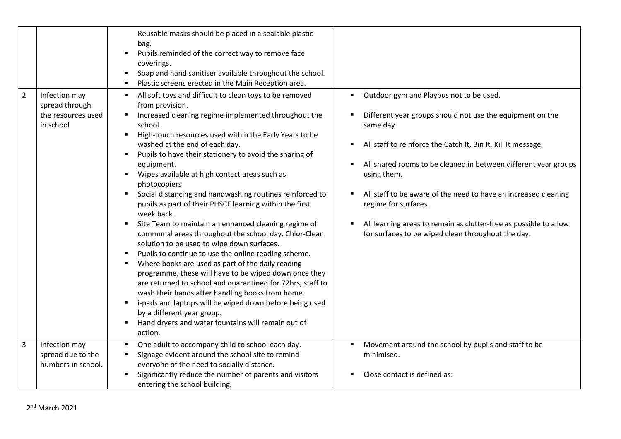|   |                                                                    | Reusable masks should be placed in a sealable plastic<br>bag.<br>Pupils reminded of the correct way to remove face<br>$\blacksquare$<br>coverings.<br>Soap and hand sanitiser available throughout the school.<br>$\blacksquare$<br>Plastic screens erected in the Main Reception area.                                                                                                                                                                                                                                                                                                                                                                                                                                                                                                                                                                                                                                                                                                                                                                                                                                                                                                                |                                                                                                                                                                                                                                                                                                                                                                                                                                                                                            |
|---|--------------------------------------------------------------------|--------------------------------------------------------------------------------------------------------------------------------------------------------------------------------------------------------------------------------------------------------------------------------------------------------------------------------------------------------------------------------------------------------------------------------------------------------------------------------------------------------------------------------------------------------------------------------------------------------------------------------------------------------------------------------------------------------------------------------------------------------------------------------------------------------------------------------------------------------------------------------------------------------------------------------------------------------------------------------------------------------------------------------------------------------------------------------------------------------------------------------------------------------------------------------------------------------|--------------------------------------------------------------------------------------------------------------------------------------------------------------------------------------------------------------------------------------------------------------------------------------------------------------------------------------------------------------------------------------------------------------------------------------------------------------------------------------------|
| 2 | Infection may<br>spread through<br>the resources used<br>in school | All soft toys and difficult to clean toys to be removed<br>from provision.<br>Increased cleaning regime implemented throughout the<br>٠<br>school.<br>High-touch resources used within the Early Years to be<br>washed at the end of each day.<br>Pupils to have their stationery to avoid the sharing of<br>$\blacksquare$<br>equipment.<br>Wipes available at high contact areas such as<br>٠<br>photocopiers<br>Social distancing and handwashing routines reinforced to<br>٠<br>pupils as part of their PHSCE learning within the first<br>week back.<br>Site Team to maintain an enhanced cleaning regime of<br>٠<br>communal areas throughout the school day. Chlor-Clean<br>solution to be used to wipe down surfaces.<br>Pupils to continue to use the online reading scheme.<br>$\blacksquare$<br>Where books are used as part of the daily reading<br>programme, these will have to be wiped down once they<br>are returned to school and quarantined for 72hrs, staff to<br>wash their hands after handling books from home.<br>i-pads and laptops will be wiped down before being used<br>٠<br>by a different year group.<br>Hand dryers and water fountains will remain out of<br>action. | Outdoor gym and Playbus not to be used.<br>Different year groups should not use the equipment on the<br>same day.<br>All staff to reinforce the Catch It, Bin It, Kill It message.<br>All shared rooms to be cleaned in between different year groups<br>using them.<br>All staff to be aware of the need to have an increased cleaning<br>regime for surfaces.<br>All learning areas to remain as clutter-free as possible to allow<br>for surfaces to be wiped clean throughout the day. |
| 3 | Infection may<br>spread due to the<br>numbers in school.           | One adult to accompany child to school each day.<br>Signage evident around the school site to remind<br>everyone of the need to socially distance.<br>Significantly reduce the number of parents and visitors<br>entering the school building.                                                                                                                                                                                                                                                                                                                                                                                                                                                                                                                                                                                                                                                                                                                                                                                                                                                                                                                                                         | Movement around the school by pupils and staff to be<br>minimised.<br>Close contact is defined as:                                                                                                                                                                                                                                                                                                                                                                                         |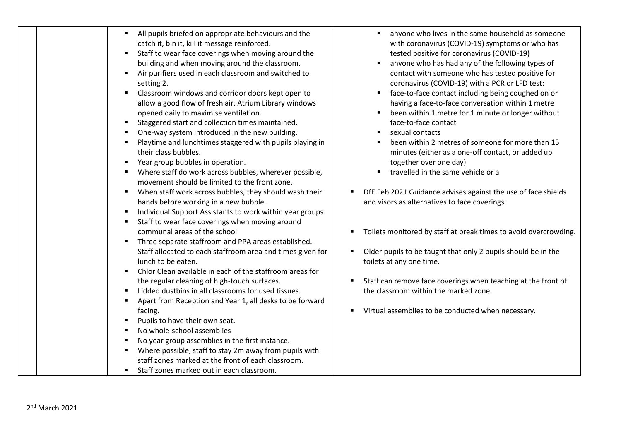| All pupils briefed on appropriate behaviours and the<br>catch it, bin it, kill it message reinforced.<br>Staff to wear face coverings when moving around the<br>building and when moving around the classroom.<br>Air purifiers used in each classroom and switched to<br>$\blacksquare$<br>setting 2.<br>Classroom windows and corridor doors kept open to<br>allow a good flow of fresh air. Atrium Library windows<br>opened daily to maximise ventilation.<br>Staggered start and collection times maintained.<br>One-way system introduced in the new building.<br>Playtime and lunchtimes staggered with pupils playing in<br>their class bubbles.<br>Year group bubbles in operation.<br>Where staff do work across bubbles, wherever possible,<br>movement should be limited to the front zone.<br>When staff work across bubbles, they should wash their<br>$\blacksquare$<br>hands before working in a new bubble.<br>Individual Support Assistants to work within year groups<br>Staff to wear face coverings when moving around<br>communal areas of the school<br>Three separate staffroom and PPA areas established.<br>Staff allocated to each staffroom area and times given for | anyone who lives in the same household as someone<br>with coronavirus (COVID-19) symptoms or who has<br>tested positive for coronavirus (COVID-19)<br>anyone who has had any of the following types of<br>contact with someone who has tested positive for<br>coronavirus (COVID-19) with a PCR or LFD test:<br>face-to-face contact including being coughed on or<br>having a face-to-face conversation within 1 metre<br>been within 1 metre for 1 minute or longer without<br>face-to-face contact<br>sexual contacts<br>been within 2 metres of someone for more than 15<br>minutes (either as a one-off contact, or added up<br>together over one day)<br>travelled in the same vehicle or a<br>DfE Feb 2021 Guidance advises against the use of face shields<br>and visors as alternatives to face coverings.<br>Toilets monitored by staff at break times to avoid overcrowding.<br>Older pupils to be taught that only 2 pupils should be in the |
|--------------------------------------------------------------------------------------------------------------------------------------------------------------------------------------------------------------------------------------------------------------------------------------------------------------------------------------------------------------------------------------------------------------------------------------------------------------------------------------------------------------------------------------------------------------------------------------------------------------------------------------------------------------------------------------------------------------------------------------------------------------------------------------------------------------------------------------------------------------------------------------------------------------------------------------------------------------------------------------------------------------------------------------------------------------------------------------------------------------------------------------------------------------------------------------------------|----------------------------------------------------------------------------------------------------------------------------------------------------------------------------------------------------------------------------------------------------------------------------------------------------------------------------------------------------------------------------------------------------------------------------------------------------------------------------------------------------------------------------------------------------------------------------------------------------------------------------------------------------------------------------------------------------------------------------------------------------------------------------------------------------------------------------------------------------------------------------------------------------------------------------------------------------------|
| lunch to be eaten.<br>Chlor Clean available in each of the staffroom areas for<br>the regular cleaning of high-touch surfaces.<br>Lidded dustbins in all classrooms for used tissues.                                                                                                                                                                                                                                                                                                                                                                                                                                                                                                                                                                                                                                                                                                                                                                                                                                                                                                                                                                                                            | toilets at any one time.<br>Staff can remove face coverings when teaching at the front of<br>the classroom within the marked zone.                                                                                                                                                                                                                                                                                                                                                                                                                                                                                                                                                                                                                                                                                                                                                                                                                       |
| Apart from Reception and Year 1, all desks to be forward<br>facing.<br>Pupils to have their own seat.                                                                                                                                                                                                                                                                                                                                                                                                                                                                                                                                                                                                                                                                                                                                                                                                                                                                                                                                                                                                                                                                                            | Virtual assemblies to be conducted when necessary.                                                                                                                                                                                                                                                                                                                                                                                                                                                                                                                                                                                                                                                                                                                                                                                                                                                                                                       |
| No whole-school assemblies<br>No year group assemblies in the first instance.<br>Where possible, staff to stay 2m away from pupils with<br>staff zones marked at the front of each classroom.<br>" Staff zones marked out in each classroom.                                                                                                                                                                                                                                                                                                                                                                                                                                                                                                                                                                                                                                                                                                                                                                                                                                                                                                                                                     |                                                                                                                                                                                                                                                                                                                                                                                                                                                                                                                                                                                                                                                                                                                                                                                                                                                                                                                                                          |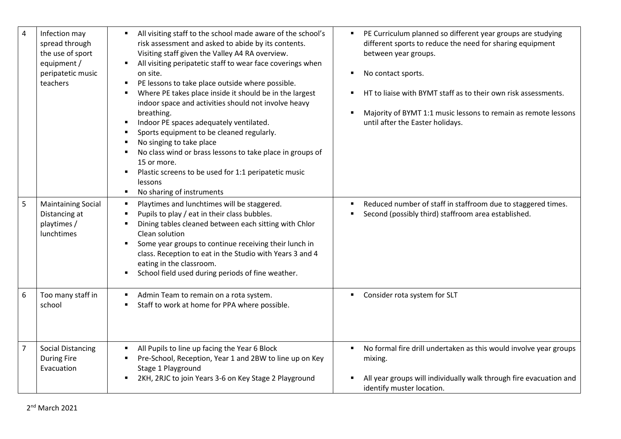| $\overline{\mathbf{4}}$ | Infection may<br>spread through<br>the use of sport<br>equipment /<br>peripatetic music<br>teachers | All visiting staff to the school made aware of the school's<br>$\blacksquare$<br>risk assessment and asked to abide by its contents.<br>Visiting staff given the Valley A4 RA overview.<br>All visiting peripatetic staff to wear face coverings when<br>$\blacksquare$<br>on site.<br>PE lessons to take place outside where possible.<br>$\blacksquare$<br>Where PE takes place inside it should be in the largest<br>$\blacksquare$<br>indoor space and activities should not involve heavy<br>breathing.<br>Indoor PE spaces adequately ventilated.<br>$\blacksquare$<br>Sports equipment to be cleaned regularly.<br>$\blacksquare$<br>No singing to take place<br>п<br>No class wind or brass lessons to take place in groups of<br>$\blacksquare$<br>15 or more.<br>Plastic screens to be used for 1:1 peripatetic music<br>$\blacksquare$<br>lessons<br>No sharing of instruments<br>$\blacksquare$ | PE Curriculum planned so different year groups are studying<br>٠<br>different sports to reduce the need for sharing equipment<br>between year groups.<br>No contact sports.<br>٠<br>HT to liaise with BYMT staff as to their own risk assessments.<br>Majority of BYMT 1:1 music lessons to remain as remote lessons<br>$\blacksquare$<br>until after the Easter holidays. |
|-------------------------|-----------------------------------------------------------------------------------------------------|-------------------------------------------------------------------------------------------------------------------------------------------------------------------------------------------------------------------------------------------------------------------------------------------------------------------------------------------------------------------------------------------------------------------------------------------------------------------------------------------------------------------------------------------------------------------------------------------------------------------------------------------------------------------------------------------------------------------------------------------------------------------------------------------------------------------------------------------------------------------------------------------------------------|----------------------------------------------------------------------------------------------------------------------------------------------------------------------------------------------------------------------------------------------------------------------------------------------------------------------------------------------------------------------------|
| 5                       | <b>Maintaining Social</b><br>Distancing at<br>playtimes /<br>lunchtimes                             | Playtimes and lunchtimes will be staggered.<br>$\blacksquare$<br>Pupils to play / eat in their class bubbles.<br>$\blacksquare$<br>Dining tables cleaned between each sitting with Chlor<br>$\blacksquare$<br>Clean solution<br>Some year groups to continue receiving their lunch in<br>$\blacksquare$<br>class. Reception to eat in the Studio with Years 3 and 4<br>eating in the classroom.<br>School field used during periods of fine weather.<br>$\blacksquare$                                                                                                                                                                                                                                                                                                                                                                                                                                      | Reduced number of staff in staffroom due to staggered times.<br>$\blacksquare$<br>Second (possibly third) staffroom area established.                                                                                                                                                                                                                                      |
| 6                       | Too many staff in<br>school                                                                         | Admin Team to remain on a rota system.<br>$\blacksquare$<br>Staff to work at home for PPA where possible.<br>$\blacksquare$                                                                                                                                                                                                                                                                                                                                                                                                                                                                                                                                                                                                                                                                                                                                                                                 | Consider rota system for SLT<br>٠                                                                                                                                                                                                                                                                                                                                          |
| $\overline{7}$          | <b>Social Distancing</b><br><b>During Fire</b><br>Evacuation                                        | All Pupils to line up facing the Year 6 Block<br>$\blacksquare$<br>Pre-School, Reception, Year 1 and 2BW to line up on Key<br>п<br>Stage 1 Playground<br>2KH, 2RJC to join Years 3-6 on Key Stage 2 Playground<br>$\blacksquare$                                                                                                                                                                                                                                                                                                                                                                                                                                                                                                                                                                                                                                                                            | No formal fire drill undertaken as this would involve year groups<br>$\blacksquare$<br>mixing.<br>All year groups will individually walk through fire evacuation and<br>identify muster location.                                                                                                                                                                          |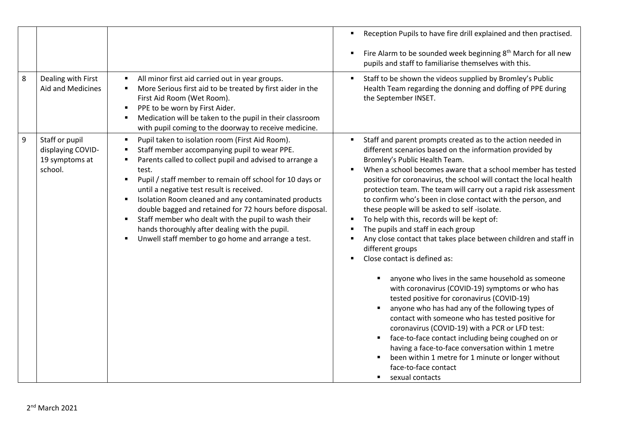|                                                                                                                                                                                                                                                                                                                                                                                                                                                                                                                                                                                                                                                                                      | Fire Alarm to be sounded week beginning 8 <sup>th</sup> March for all new<br>٠                                                                                                                                                                                                                                                                                                                                                                                                                                                                                                                                                                                                                                                                                                                                                                                                                                                                                                                                                                                                                                                                                                                                                               |
|--------------------------------------------------------------------------------------------------------------------------------------------------------------------------------------------------------------------------------------------------------------------------------------------------------------------------------------------------------------------------------------------------------------------------------------------------------------------------------------------------------------------------------------------------------------------------------------------------------------------------------------------------------------------------------------|----------------------------------------------------------------------------------------------------------------------------------------------------------------------------------------------------------------------------------------------------------------------------------------------------------------------------------------------------------------------------------------------------------------------------------------------------------------------------------------------------------------------------------------------------------------------------------------------------------------------------------------------------------------------------------------------------------------------------------------------------------------------------------------------------------------------------------------------------------------------------------------------------------------------------------------------------------------------------------------------------------------------------------------------------------------------------------------------------------------------------------------------------------------------------------------------------------------------------------------------|
|                                                                                                                                                                                                                                                                                                                                                                                                                                                                                                                                                                                                                                                                                      | pupils and staff to familiarise themselves with this.                                                                                                                                                                                                                                                                                                                                                                                                                                                                                                                                                                                                                                                                                                                                                                                                                                                                                                                                                                                                                                                                                                                                                                                        |
| 8<br>Dealing with First<br>All minor first aid carried out in year groups.<br>٠<br>Aid and Medicines<br>More Serious first aid to be treated by first aider in the<br>٠<br>First Aid Room (Wet Room).<br>PPE to be worn by First Aider.<br>٠<br>Medication will be taken to the pupil in their classroom<br>with pupil coming to the doorway to receive medicine.                                                                                                                                                                                                                                                                                                                    | Staff to be shown the videos supplied by Bromley's Public<br>٠<br>Health Team regarding the donning and doffing of PPE during<br>the September INSET.                                                                                                                                                                                                                                                                                                                                                                                                                                                                                                                                                                                                                                                                                                                                                                                                                                                                                                                                                                                                                                                                                        |
| 9<br>Staff or pupil<br>Pupil taken to isolation room (First Aid Room).<br>$\blacksquare$<br>displaying COVID-<br>Staff member accompanying pupil to wear PPE.<br>٠<br>Parents called to collect pupil and advised to arrange a<br>19 symptoms at<br>school.<br>test.<br>Pupil / staff member to remain off school for 10 days or<br>٠<br>until a negative test result is received.<br>Isolation Room cleaned and any contaminated products<br>٠<br>double bagged and retained for 72 hours before disposal.<br>Staff member who dealt with the pupil to wash their<br>٠<br>hands thoroughly after dealing with the pupil.<br>Unwell staff member to go home and arrange a test.<br>٠ | Staff and parent prompts created as to the action needed in<br>٠<br>different scenarios based on the information provided by<br>Bromley's Public Health Team.<br>When a school becomes aware that a school member has tested<br>positive for coronavirus, the school will contact the local health<br>protection team. The team will carry out a rapid risk assessment<br>to confirm who's been in close contact with the person, and<br>these people will be asked to self-isolate.<br>To help with this, records will be kept of:<br>٠<br>The pupils and staff in each group<br>٠<br>Any close contact that takes place between children and staff in<br>٠<br>different groups<br>Close contact is defined as:<br>anyone who lives in the same household as someone<br>with coronavirus (COVID-19) symptoms or who has<br>tested positive for coronavirus (COVID-19)<br>anyone who has had any of the following types of<br>contact with someone who has tested positive for<br>coronavirus (COVID-19) with a PCR or LFD test:<br>face-to-face contact including being coughed on or<br>having a face-to-face conversation within 1 metre<br>been within 1 metre for 1 minute or longer without<br>face-to-face contact<br>sexual contacts |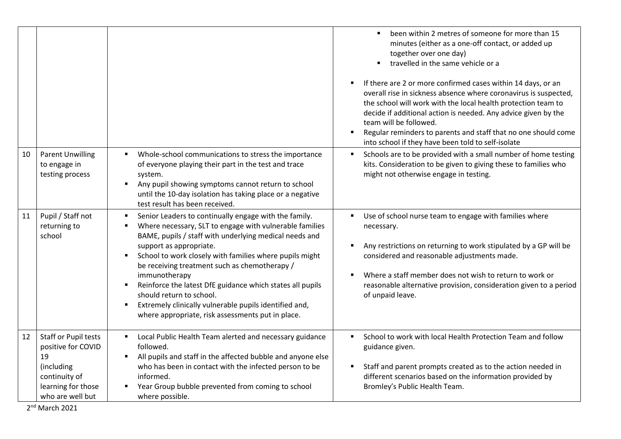|    |                                                                                                                           |                                                                                                                                                                                                                                                                                                                                                                                                                                                                                                                                                                        | been within 2 metres of someone for more than 15<br>$\blacksquare$<br>minutes (either as a one-off contact, or added up<br>together over one day)<br>travelled in the same vehicle or a<br>If there are 2 or more confirmed cases within 14 days, or an<br>$\blacksquare$<br>overall rise in sickness absence where coronavirus is suspected,<br>the school will work with the local health protection team to<br>decide if additional action is needed. Any advice given by the<br>team will be followed.<br>Regular reminders to parents and staff that no one should come<br>$\blacksquare$<br>into school if they have been told to self-isolate |
|----|---------------------------------------------------------------------------------------------------------------------------|------------------------------------------------------------------------------------------------------------------------------------------------------------------------------------------------------------------------------------------------------------------------------------------------------------------------------------------------------------------------------------------------------------------------------------------------------------------------------------------------------------------------------------------------------------------------|------------------------------------------------------------------------------------------------------------------------------------------------------------------------------------------------------------------------------------------------------------------------------------------------------------------------------------------------------------------------------------------------------------------------------------------------------------------------------------------------------------------------------------------------------------------------------------------------------------------------------------------------------|
| 10 | <b>Parent Unwilling</b><br>to engage in<br>testing process                                                                | Whole-school communications to stress the importance<br>of everyone playing their part in the test and trace<br>system.<br>Any pupil showing symptoms cannot return to school<br>п<br>until the 10-day isolation has taking place or a negative<br>test result has been received.                                                                                                                                                                                                                                                                                      | Schools are to be provided with a small number of home testing<br>kits. Consideration to be given to giving these to families who<br>might not otherwise engage in testing.                                                                                                                                                                                                                                                                                                                                                                                                                                                                          |
| 11 | Pupil / Staff not<br>returning to<br>school                                                                               | Senior Leaders to continually engage with the family.<br>Where necessary, SLT to engage with vulnerable families<br>BAME, pupils / staff with underlying medical needs and<br>support as appropriate.<br>School to work closely with families where pupils might<br>$\blacksquare$<br>be receiving treatment such as chemotherapy /<br>immunotherapy<br>Reinforce the latest DfE guidance which states all pupils<br>п<br>should return to school.<br>Extremely clinically vulnerable pupils identified and,<br>п<br>where appropriate, risk assessments put in place. | Use of school nurse team to engage with families where<br>п<br>necessary.<br>Any restrictions on returning to work stipulated by a GP will be<br>$\blacksquare$<br>considered and reasonable adjustments made.<br>Where a staff member does not wish to return to work or<br>reasonable alternative provision, consideration given to a period<br>of unpaid leave.                                                                                                                                                                                                                                                                                   |
| 12 | Staff or Pupil tests<br>positive for COVID<br>19<br>(including<br>continuity of<br>learning for those<br>who are well but | Local Public Health Team alerted and necessary guidance<br>followed.<br>All pupils and staff in the affected bubble and anyone else<br>who has been in contact with the infected person to be<br>informed.<br>Year Group bubble prevented from coming to school<br>where possible.                                                                                                                                                                                                                                                                                     | School to work with local Health Protection Team and follow<br>guidance given.<br>Staff and parent prompts created as to the action needed in<br>different scenarios based on the information provided by<br>Bromley's Public Health Team.                                                                                                                                                                                                                                                                                                                                                                                                           |

2 nd March 2021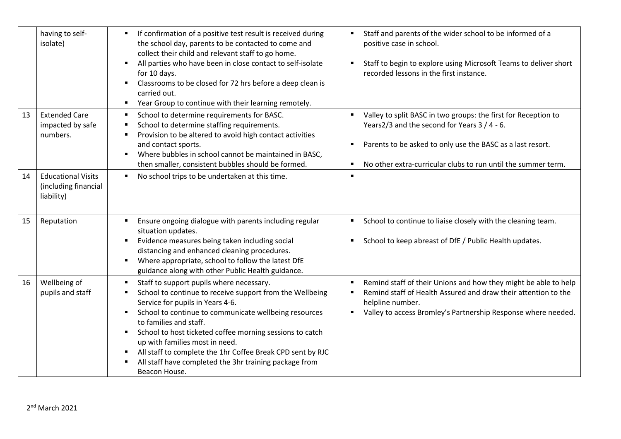|    | having to self-<br>isolate)                                     | If confirmation of a positive test result is received during<br>$\blacksquare$<br>the school day, parents to be contacted to come and<br>collect their child and relevant staff to go home.<br>All parties who have been in close contact to self-isolate<br>$\blacksquare$<br>for 10 days.<br>Classrooms to be closed for 72 hrs before a deep clean is<br>п<br>carried out.<br>Year Group to continue with their learning remotely.<br>٠                                                                    | Staff and parents of the wider school to be informed of a<br>٠<br>positive case in school.<br>Staff to begin to explore using Microsoft Teams to deliver short<br>$\blacksquare$<br>recorded lessons in the first instance.                                   |
|----|-----------------------------------------------------------------|---------------------------------------------------------------------------------------------------------------------------------------------------------------------------------------------------------------------------------------------------------------------------------------------------------------------------------------------------------------------------------------------------------------------------------------------------------------------------------------------------------------|---------------------------------------------------------------------------------------------------------------------------------------------------------------------------------------------------------------------------------------------------------------|
| 13 | <b>Extended Care</b><br>impacted by safe<br>numbers.            | School to determine requirements for BASC.<br>$\blacksquare$<br>School to determine staffing requirements.<br>Е<br>Provision to be altered to avoid high contact activities<br>п<br>and contact sports.<br>Where bubbles in school cannot be maintained in BASC,<br>$\blacksquare$<br>then smaller, consistent bubbles should be formed.                                                                                                                                                                      | Valley to split BASC in two groups: the first for Reception to<br>٠<br>Years2/3 and the second for Years 3 / 4 - 6.<br>Parents to be asked to only use the BASC as a last resort.<br>٠<br>No other extra-curricular clubs to run until the summer term.<br>п. |
| 14 | <b>Educational Visits</b><br>(including financial<br>liability) | No school trips to be undertaken at this time.<br>٠                                                                                                                                                                                                                                                                                                                                                                                                                                                           | $\blacksquare$                                                                                                                                                                                                                                                |
| 15 | Reputation                                                      | Ensure ongoing dialogue with parents including regular<br>$\blacksquare$<br>situation updates.<br>Evidence measures being taken including social<br>$\blacksquare$<br>distancing and enhanced cleaning procedures.<br>Where appropriate, school to follow the latest DfE<br>Ξ<br>guidance along with other Public Health guidance.                                                                                                                                                                            | School to continue to liaise closely with the cleaning team.<br>٠<br>School to keep abreast of DfE / Public Health updates.<br>٠                                                                                                                              |
| 16 | Wellbeing of<br>pupils and staff                                | Staff to support pupils where necessary.<br>٠<br>School to continue to receive support from the Wellbeing<br>٠<br>Service for pupils in Years 4-6.<br>School to continue to communicate wellbeing resources<br>٠<br>to families and staff.<br>School to host ticketed coffee morning sessions to catch<br>٠<br>up with families most in need.<br>All staff to complete the 1hr Coffee Break CPD sent by RJC<br>$\blacksquare$<br>All staff have completed the 3hr training package from<br>П<br>Beacon House. | Remind staff of their Unions and how they might be able to help<br>Remind staff of Health Assured and draw their attention to the<br>٠<br>helpline number.<br>Valley to access Bromley's Partnership Response where needed.                                   |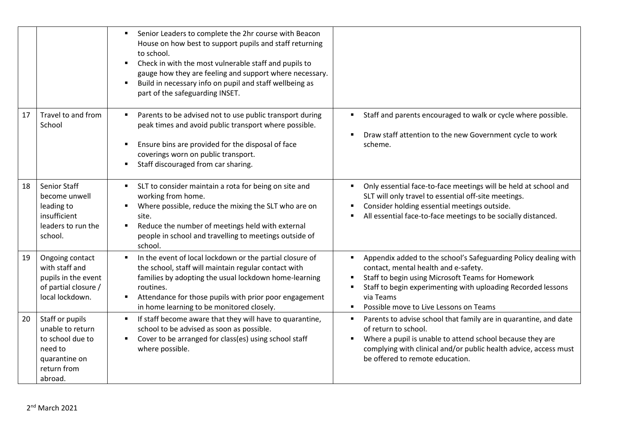|    |                                                                                                               | Senior Leaders to complete the 2hr course with Beacon<br>$\blacksquare$<br>House on how best to support pupils and staff returning<br>to school.<br>Check in with the most vulnerable staff and pupils to<br>$\blacksquare$<br>gauge how they are feeling and support where necessary.<br>Build in necessary info on pupil and staff wellbeing as<br>$\blacksquare$<br>part of the safeguarding INSET. |                                                                                                                                                                                                                                                                                                                                                             |
|----|---------------------------------------------------------------------------------------------------------------|--------------------------------------------------------------------------------------------------------------------------------------------------------------------------------------------------------------------------------------------------------------------------------------------------------------------------------------------------------------------------------------------------------|-------------------------------------------------------------------------------------------------------------------------------------------------------------------------------------------------------------------------------------------------------------------------------------------------------------------------------------------------------------|
| 17 | Travel to and from<br>School                                                                                  | Parents to be advised not to use public transport during<br>$\blacksquare$<br>peak times and avoid public transport where possible.<br>Ensure bins are provided for the disposal of face<br>$\blacksquare$<br>coverings worn on public transport.<br>Staff discouraged from car sharing.<br>$\blacksquare$                                                                                             | Staff and parents encouraged to walk or cycle where possible.<br>$\blacksquare$<br>Draw staff attention to the new Government cycle to work<br>scheme.                                                                                                                                                                                                      |
| 18 | Senior Staff<br>become unwell<br>leading to<br>insufficient<br>leaders to run the<br>school.                  | SLT to consider maintain a rota for being on site and<br>working from home.<br>Where possible, reduce the mixing the SLT who are on<br>$\blacksquare$<br>site.<br>Reduce the number of meetings held with external<br>$\blacksquare$<br>people in school and travelling to meetings outside of<br>school.                                                                                              | Only essential face-to-face meetings will be held at school and<br>$\blacksquare$<br>SLT will only travel to essential off-site meetings.<br>Consider holding essential meetings outside.<br>$\blacksquare$<br>All essential face-to-face meetings to be socially distanced.                                                                                |
| 19 | Ongoing contact<br>with staff and<br>pupils in the event<br>of partial closure /<br>local lockdown.           | In the event of local lockdown or the partial closure of<br>$\blacksquare$<br>the school, staff will maintain regular contact with<br>families by adopting the usual lockdown home-learning<br>routines.<br>Attendance for those pupils with prior poor engagement<br>in home learning to be monitored closely.                                                                                        | Appendix added to the school's Safeguarding Policy dealing with<br>$\blacksquare$<br>contact, mental health and e-safety.<br>Staff to begin using Microsoft Teams for Homework<br>$\blacksquare$<br>Staff to begin experimenting with uploading Recorded lessons<br>$\blacksquare$<br>via Teams<br>Possible move to Live Lessons on Teams<br>$\blacksquare$ |
| 20 | Staff or pupils<br>unable to return<br>to school due to<br>need to<br>quarantine on<br>return from<br>abroad. | If staff become aware that they will have to quarantine,<br>$\blacksquare$<br>school to be advised as soon as possible.<br>Cover to be arranged for class(es) using school staff<br>$\blacksquare$<br>where possible.                                                                                                                                                                                  | Parents to advise school that family are in quarantine, and date<br>$\blacksquare$<br>of return to school.<br>Where a pupil is unable to attend school because they are<br>$\blacksquare$<br>complying with clinical and/or public health advice, access must<br>be offered to remote education.                                                            |